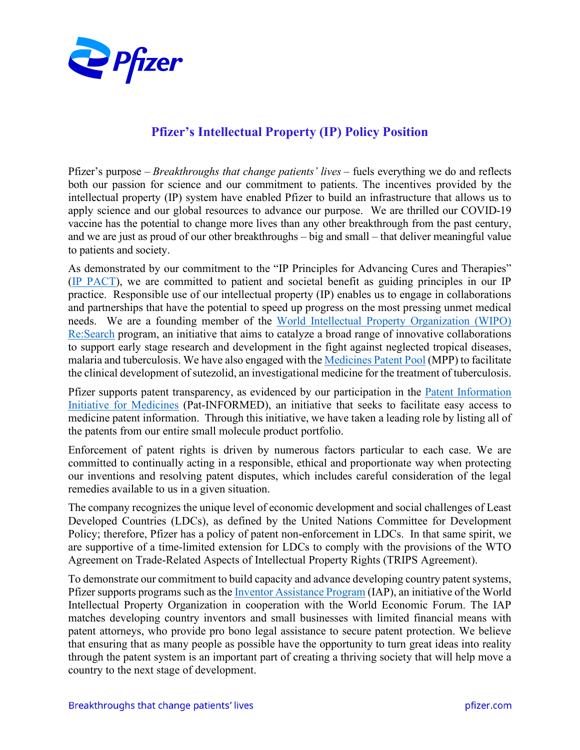

## **Pfizer's Intellectual Property (IP) Policy Position**

Pfizer's purpose – *Breakthroughs that change patients' lives* – fuels everything we do and reflects both our passion for science and our commitment to patients. The incentives provided by the intellectual property (IP) system have enabled Pfizer to build an infrastructure that allows us to apply science and our global resources to advance our purpose. We are thrilled our COVID-19 vaccine has the potential to change more lives than any other breakthrough from the past century, and we are just as proud of our other breakthroughs – big and small – that deliver meaningful value to patients and society.

As demonstrated by our commitment to the "IP Principles for Advancing Cures and Therapies" [\(IP PACT\)](https://www.pfizer.com/purpose/health-policy/ip-pact), we are committed to patient and societal benefit as guiding principles in our IP practice. Responsible use of our intellectual property (IP) enables us to engage in collaborations and partnerships that have the potential to speed up progress on the most pressing unmet medical needs. We are a founding member of the [World Intellectual Property Organization \(WIPO\)](https://www.wipo.int/research/en/)  [Re:Search](https://www.wipo.int/research/en/) program, an initiative that aims to catalyze a broad range of innovative collaborations to support early stage research and development in the fight against neglected tropical diseases, malaria and tuberculosis. We have also engaged with th[e Medicines Patent Pool](https://medicinespatentpool.org/licence-post/sutezolid-pfizer/) (MPP) to facilitate the clinical development of sutezolid, an investigational medicine for the treatment of tuberculosis.

Pfizer supports patent transparency, as evidenced by our participation in the [Patent Information](https://www.wipo.int/pat-informed/en/)  [Initiative for Medicines](https://www.wipo.int/pat-informed/en/) (Pat-INFORMED), an initiative that seeks to facilitate easy access to medicine patent information. Through this initiative, we have taken a leading role by listing all of the patents from our entire small molecule product portfolio.

Enforcement of patent rights is driven by numerous factors particular to each case. We are committed to continually acting in a responsible, ethical and proportionate way when protecting our inventions and resolving patent disputes, which includes careful consideration of the legal remedies available to us in a given situation.

The company recognizes the unique level of economic development and social challenges of Least Developed Countries (LDCs), as defined by the United Nations Committee for Development Policy; therefore, Pfizer has a policy of patent non-enforcement in LDCs. In that same spirit, we are supportive of a time-limited extension for LDCs to comply with the provisions of the WTO Agreement on Trade-Related Aspects of Intellectual Property Rights (TRIPS Agreement).

To demonstrate our commitment to build capacity and advance developing country patent systems, Pfizer supports programs such as the <u>Inventor Assistance Program</u> (IAP), an initiative of the World Intellectual Property Organization in cooperation with the World Economic Forum. The IAP matches developing country inventors and small businesses with limited financial means with patent attorneys, who provide pro bono legal assistance to secure patent protection. We believe that ensuring that as many people as possible have the opportunity to turn great ideas into reality through the patent system is an important part of creating a thriving society that will help move a country to the next stage of development.